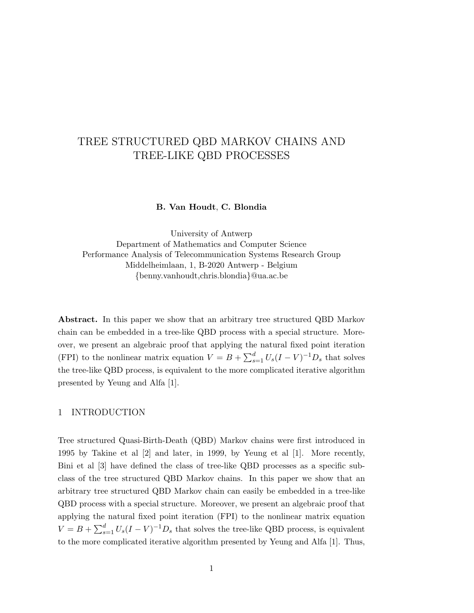# TREE STRUCTURED QBD MARKOV CHAINS AND TREE-LIKE QBD PROCESSES

### B. Van Houdt, C. Blondia

University of Antwerp Department of Mathematics and Computer Science Performance Analysis of Telecommunication Systems Research Group Middelheimlaan, 1, B-2020 Antwerp - Belgium {benny.vanhoudt,chris.blondia}@ua.ac.be

Abstract. In this paper we show that an arbitrary tree structured QBD Markov chain can be embedded in a tree-like QBD process with a special structure. Moreover, we present an algebraic proof that applying the natural fixed point iteration (FPI) to the nonlinear matrix equation  $V = B + \sum_{s=1}^{d} U_s (I - V)^{-1} D_s$  that solves the tree-like QBD process, is equivalent to the more complicated iterative algorithm presented by Yeung and Alfa [1].

## 1 INTRODUCTION

Tree structured Quasi-Birth-Death (QBD) Markov chains were first introduced in 1995 by Takine et al [2] and later, in 1999, by Yeung et al [1]. More recently, Bini et al [3] have defined the class of tree-like QBD processes as a specific subclass of the tree structured QBD Markov chains. In this paper we show that an arbitrary tree structured QBD Markov chain can easily be embedded in a tree-like QBD process with a special structure. Moreover, we present an algebraic proof that applying the natural fixed point iteration (FPI) to the nonlinear matrix equation  $V = B + \sum_{s=1}^{d} U_s (I - V)^{-1} D_s$  that solves the tree-like QBD process, is equivalent to the more complicated iterative algorithm presented by Yeung and Alfa [1]. Thus,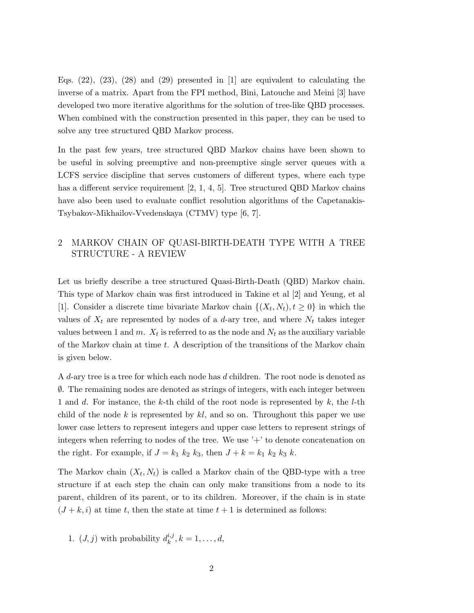Eqs.  $(22)$ ,  $(23)$ ,  $(28)$  and  $(29)$  presented in  $[1]$  are equivalent to calculating the inverse of a matrix. Apart from the FPI method, Bini, Latouche and Meini [3] have developed two more iterative algorithms for the solution of tree-like QBD processes. When combined with the construction presented in this paper, they can be used to solve any tree structured QBD Markov process.

In the past few years, tree structured QBD Markov chains have been shown to be useful in solving preemptive and non-preemptive single server queues with a LCFS service discipline that serves customers of different types, where each type has a different service requirement [2, 1, 4, 5]. Tree structured QBD Markov chains have also been used to evaluate conflict resolution algorithms of the Capetanakis-Tsybakov-Mikhailov-Vvedenskaya (CTMV) type [6, 7].

# 2 MARKOV CHAIN OF QUASI-BIRTH-DEATH TYPE WITH A TREE STRUCTURE - A REVIEW

Let us briefly describe a tree structured Quasi-Birth-Death (QBD) Markov chain. This type of Markov chain was first introduced in Takine et al [2] and Yeung, et al [1]. Consider a discrete time bivariate Markov chain  $\{(X_t, N_t), t \geq 0\}$  in which the values of  $X_t$  are represented by nodes of a d-ary tree, and where  $N_t$  takes integer values between 1 and m.  $X_t$  is referred to as the node and  $N_t$  as the auxiliary variable of the Markov chain at time  $t$ . A description of the transitions of the Markov chain is given below.

A d-ary tree is a tree for which each node has d children. The root node is denoted as ∅. The remaining nodes are denoted as strings of integers, with each integer between 1 and d. For instance, the k-th child of the root node is represented by  $k$ , the l-th child of the node  $k$  is represented by  $kl$ , and so on. Throughout this paper we use lower case letters to represent integers and upper case letters to represent strings of integers when referring to nodes of the tree. We use  $+$  to denote concatenation on the right. For example, if  $J = k_1 k_2 k_3$ , then  $J + k = k_1 k_2 k_3 k$ .

The Markov chain  $(X_t, N_t)$  is called a Markov chain of the QBD-type with a tree structure if at each step the chain can only make transitions from a node to its parent, children of its parent, or to its children. Moreover, if the chain is in state  $(J + k, i)$  at time t, then the state at time  $t + 1$  is determined as follows:

1. 
$$
(J, j)
$$
 with probability  $d_k^{i,j}, k = 1, ..., d$ ,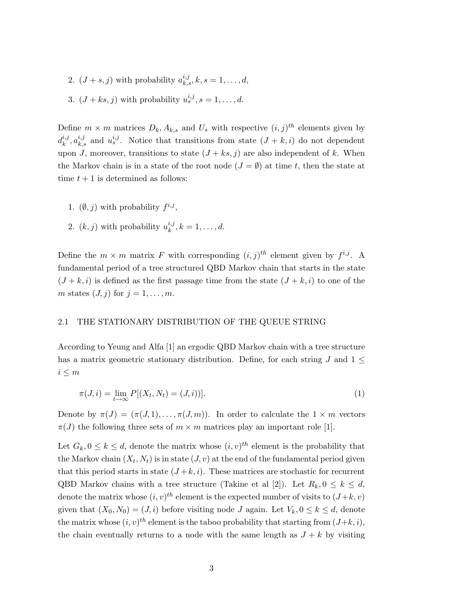2.  $(J + s, j)$  with probability  $a_{k,s}^{i,j}, k, s = 1, \ldots, d$ , 3.  $(J+ks, j)$  with probability  $u_s^{i,j}, s = 1, \ldots, d$ .

Define  $m \times m$  matrices  $D_k$ ,  $A_{k,s}$  and  $U_s$  with respective  $(i, j)$ <sup>th</sup> elements given by  $d_k^{i,j}$  $k, a_{k,s}^{i,j}$  and  $u_s^{i,j}$ . Notice that transitions from state  $(J + k, i)$  do not dependent upon J, moreover, transitions to state  $(J + ks, j)$  are also independent of k. When the Markov chain is in a state of the root node  $(J = \emptyset)$  at time t, then the state at time  $t + 1$  is determined as follows:

- 1.  $(\emptyset, j)$  with probability  $f^{i,j}$ ,
- 2.  $(k, j)$  with probability  $u_k^{i,j}$  $k^{i,j}, k = 1, \ldots, d.$

Define the  $m \times m$  matrix F with corresponding  $(i, j)^{th}$  element given by  $f^{i,j}$ . A fundamental period of a tree structured QBD Markov chain that starts in the state  $(J + k, i)$  is defined as the first passage time from the state  $(J + k, i)$  to one of the m states  $(J, j)$  for  $j = 1, \ldots, m$ .

#### 2.1 THE STATIONARY DISTRIBUTION OF THE QUEUE STRING

According to Yeung and Alfa [1] an ergodic QBD Markov chain with a tree structure has a matrix geometric stationary distribution. Define, for each string  $J$  and  $1 \leq$  $i \leq m$ 

$$
\pi(J, i) = \lim_{t \to \infty} P[(X_t, N_t) = (J, i))].
$$
\n(1)

Denote by  $\pi(J) = (\pi(J, 1), \ldots, \pi(J, m))$ . In order to calculate the  $1 \times m$  vectors  $\pi(J)$  the following three sets of  $m \times m$  matrices play an important role [1].

Let  $G_k, 0 \leq k \leq d$ , denote the matrix whose  $(i, v)^{th}$  element is the probability that the Markov chain  $(X_t, N_t)$  is in state  $(J, v)$  at the end of the fundamental period given that this period starts in state  $(J + k, i)$ . These matrices are stochastic for recurrent QBD Markov chains with a tree structure (Takine et al [2]). Let  $R_k, 0 \leq k \leq d$ , denote the matrix whose  $(i, v)^{th}$  element is the expected number of visits to  $(J+k, v)$ given that  $(X_0, N_0) = (J, i)$  before visiting node J again. Let  $V_k, 0 \leq k \leq d$ , denote the matrix whose  $(i, v)^{th}$  element is the taboo probability that starting from  $(J+k, i)$ , the chain eventually returns to a node with the same length as  $J + k$  by visiting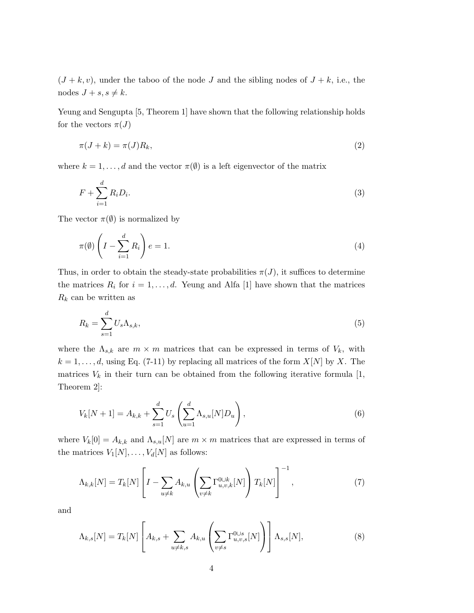$(J + k, v)$ , under the taboo of the node J and the sibling nodes of  $J + k$ , i.e., the nodes  $J + s, s \neq k$ .

Yeung and Sengupta [5, Theorem 1] have shown that the following relationship holds for the vectors  $\pi(J)$ 

$$
\pi(J+k) = \pi(J)R_k,\tag{2}
$$

where  $k = 1, \ldots, d$  and the vector  $\pi(\emptyset)$  is a left eigenvector of the matrix

$$
F + \sum_{i=1}^{d} R_i D_i.
$$
 (3)

The vector  $\pi(\emptyset)$  is normalized by

$$
\pi(\emptyset) \left( I - \sum_{i=1}^{d} R_i \right) e = 1. \tag{4}
$$

Thus, in order to obtain the steady-state probabilities  $\pi(J)$ , it suffices to determine the matrices  $R_i$  for  $i = 1, \ldots, d$ . Yeung and Alfa [1] have shown that the matrices  $R_k$  can be written as

$$
R_k = \sum_{s=1}^{d} U_s \Lambda_{s,k},\tag{5}
$$

where the  $\Lambda_{s,k}$  are  $m \times m$  matrices that can be expressed in terms of  $V_k$ , with  $k = 1, \ldots, d$ , using Eq. (7-11) by replacing all matrices of the form  $X[N]$  by X. The matrices  $V_k$  in their turn can be obtained from the following iterative formula [1, Theorem 2]:

$$
V_k[N+1] = A_{k,k} + \sum_{s=1}^d U_s \left( \sum_{u=1}^d \Lambda_{s,u}[N] D_u \right), \qquad (6)
$$

where  $V_k[0] = A_{k,k}$  and  $\Lambda_{s,u}[N]$  are  $m \times m$  matrices that are expressed in terms of the matrices  $V_1[N], \ldots, V_d[N]$  as follows:

$$
\Lambda_{k,k}[N] = T_k[N] \left[ I - \sum_{u \neq k} A_{k,u} \left( \sum_{v \neq k} \Gamma_{u,v,k}^{\text{O} \cup k}[N] \right) T_k[N] \right]^{-1}, \tag{7}
$$

and

$$
\Lambda_{k,s}[N] = T_k[N] \left[ A_{k,s} + \sum_{u \neq k,s} A_{k,u} \left( \sum_{v \neq s} \Gamma_{u,v,s}^{0 \cup s}[N] \right) \right] \Lambda_{s,s}[N], \tag{8}
$$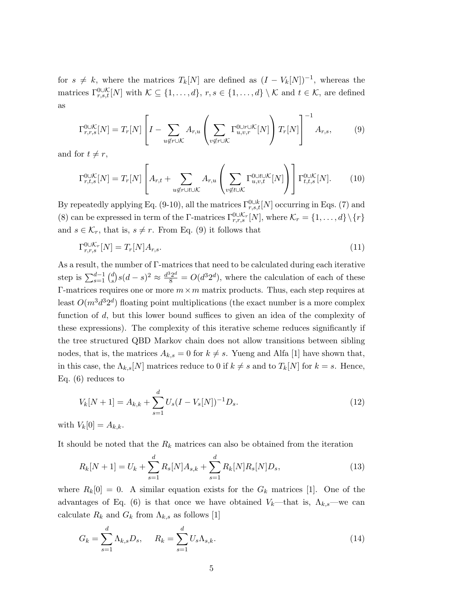for  $s \neq k$ , where the matrices  $T_k[N]$  are defined as  $(I - V_k[N])^{-1}$ , whereas the matrices  $\Gamma_{r,s,t}^{\text{O}\cup\mathcal{K}}[N]$  with  $\mathcal{K}\subseteq\{1,\ldots,d\}$ ,  $r,s\in\{1,\ldots,d\}\setminus\mathcal{K}$  and  $t\in\mathcal{K}$ , are defined as

$$
\Gamma_{r,r,s}^{\text{OUK}}[N] = T_r[N] \left[ I - \sum_{u \notin r \cup K} A_{r,u} \left( \sum_{v \notin r \cup K} \Gamma_{u,v,r}^{\text{OU}r \cup K}[N] \right) T_r[N] \right]^{-1} A_{r,s},\tag{9}
$$

and for  $t \neq r$ ,

$$
\Gamma_{r,t,s}^{\text{OUK}}[N] = T_r[N] \left[ A_{r,t} + \sum_{u \notin r \cup t \cup \mathcal{K}} A_{r,u} \left( \sum_{v \notin t \cup \mathcal{K}} \Gamma_{u,v,t}^{\text{OUtUK}}[N] \right) \right] \Gamma_{t,t,s}^{\text{OUK}}[N]. \tag{10}
$$

By repeatedly applying Eq. (9-10), all the matrices  $\Gamma_{r,s,t}^{0\cup k}[N]$  occurring in Eqs. (7) and (8) can be expressed in term of the Γ-matrices  $\Gamma_{r,r,s}^{\text{OLK}_r}[N]$ , where  $\mathcal{K}_r = \{1,\ldots,d\} \setminus \{r\}$ and  $s \in \mathcal{K}_r$ , that is,  $s \neq r$ . From Eq. (9) it follows that

$$
\Gamma_{r,r,s}^{0\cup\mathcal{K}_r}[N] = T_r[N]A_{r,s}.\tag{11}
$$

As a result, the number of Γ-matrices that need to be calculated during each iterative step is  $\sum_{s=1}^{d-1} {d \choose s}$  $s(s)(d-s)^2 \approx \frac{d^3 2^d}{8} = O(d^3 2^d)$ , where the calculation of each of these Γ-matrices requires one or more  $m \times m$  matrix products. Thus, each step requires at least  $O(m^3d^32^d)$  floating point multiplications (the exact number is a more complex function of d, but this lower bound suffices to given an idea of the complexity of these expressions). The complexity of this iterative scheme reduces significantly if the tree structured QBD Markov chain does not allow transitions between sibling nodes, that is, the matrices  $A_{k,s} = 0$  for  $k \neq s$ . Yueng and Alfa [1] have shown that, in this case, the  $\Lambda_{k,s}[N]$  matrices reduce to 0 if  $k \neq s$  and to  $T_k[N]$  for  $k = s$ . Hence, Eq. (6) reduces to

$$
V_k[N+1] = A_{k,k} + \sum_{s=1}^d U_s(I - V_s[N])^{-1}D_s.
$$
\n(12)

with  $V_k[0] = A_{k,k}$ .

It should be noted that the  $R_k$  matrices can also be obtained from the iteration

$$
R_k[N+1] = U_k + \sum_{s=1}^d R_s[N]A_{s,k} + \sum_{s=1}^d R_k[N]R_s[N]D_s,
$$
\n(13)

where  $R_k[0] = 0$ . A similar equation exists for the  $G_k$  matrices [1]. One of the advantages of Eq. (6) is that once we have obtained  $V_k$ —that is,  $\Lambda_{k,s}$ —we can calculate  $R_k$  and  $G_k$  from  $\Lambda_{k,s}$  as follows [1]

$$
G_k = \sum_{s=1}^d \Lambda_{k,s} D_s, \qquad R_k = \sum_{s=1}^d U_s \Lambda_{s,k}.
$$
\n
$$
(14)
$$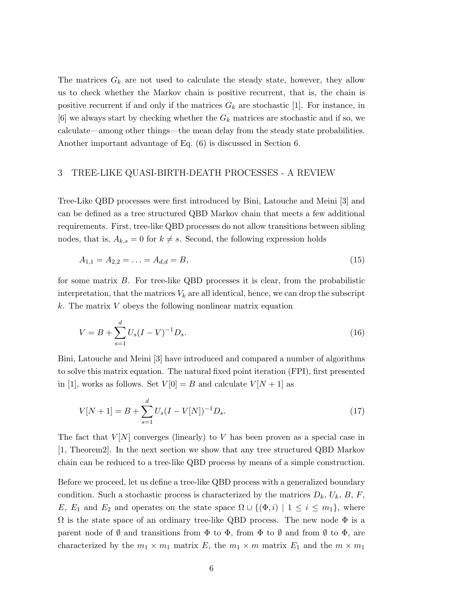The matrices  $G_k$  are not used to calculate the steady state, however, they allow us to check whether the Markov chain is positive recurrent, that is, the chain is positive recurrent if and only if the matrices  $G_k$  are stochastic [1]. For instance, in  $[6]$  we always start by checking whether the  $G_k$  matrices are stochastic and if so, we calculate—among other things—the mean delay from the steady state probabilities. Another important advantage of Eq. (6) is discussed in Section 6.

## 3 TREE-LIKE QUASI-BIRTH-DEATH PROCESSES - A REVIEW

Tree-Like QBD processes were first introduced by Bini, Latouche and Meini [3] and can be defined as a tree structured QBD Markov chain that meets a few additional requirements. First, tree-like QBD processes do not allow transitions between sibling nodes, that is,  $A_{k,s} = 0$  for  $k \neq s$ . Second, the following expression holds

$$
A_{1,1} = A_{2,2} = \ldots = A_{d,d} = B,\tag{15}
$$

for some matrix  $B$ . For tree-like QBD processes it is clear, from the probabilistic interpretation, that the matrices  $V_k$  are all identical, hence, we can drop the subscript  $k$ . The matrix V obeys the following nonlinear matrix equation

$$
V = B + \sum_{s=1}^{d} U_s (I - V)^{-1} D_s.
$$
\n(16)

Bini, Latouche and Meini [3] have introduced and compared a number of algorithms to solve this matrix equation. The natural fixed point iteration (FPI), first presented in [1], works as follows. Set  $V[0] = B$  and calculate  $V[N+1]$  as

$$
V[N+1] = B + \sum_{s=1}^{d} U_s (I - V[N])^{-1} D_s.
$$
\n(17)

The fact that  $V[N]$  converges (linearly) to V has been proven as a special case in [1, Theorem2]. In the next section we show that any tree structured QBD Markov chain can be reduced to a tree-like QBD process by means of a simple construction.

Before we proceed, let us define a tree-like QBD process with a generalized boundary condition. Such a stochastic process is characterized by the matrices  $D_k$ ,  $U_k$ ,  $B$ ,  $F$ , E,  $E_1$  and  $E_2$  and operates on the state space  $\Omega \cup \{(\Phi, i) \mid 1 \le i \le m_1\}$ , where  $\Omega$  is the state space of an ordinary tree-like QBD process. The new node  $\Phi$  is a parent node of  $\emptyset$  and transitions from  $\Phi$  to  $\Phi$ , from  $\Phi$  to  $\emptyset$  and from  $\emptyset$  to  $\Phi$ , are characterized by the  $m_1 \times m_1$  matrix E, the  $m_1 \times m$  matrix E<sub>1</sub> and the  $m \times m_1$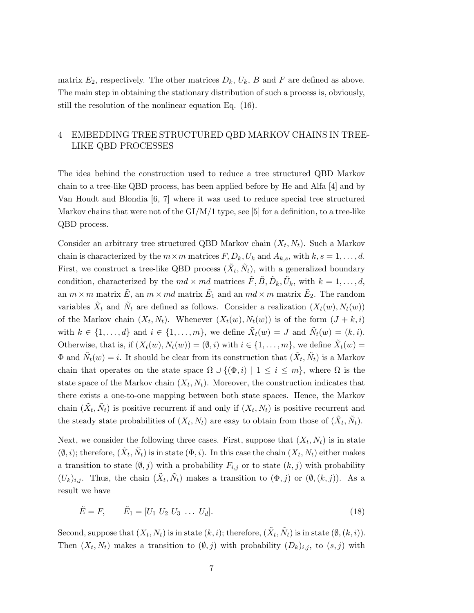matrix  $E_2$ , respectively. The other matrices  $D_k$ ,  $U_k$ ,  $B$  and  $F$  are defined as above. The main step in obtaining the stationary distribution of such a process is, obviously, still the resolution of the nonlinear equation Eq. (16).

# 4 EMBEDDING TREE STRUCTURED QBD MARKOV CHAINS IN TREE-LIKE QBD PROCESSES

The idea behind the construction used to reduce a tree structured QBD Markov chain to a tree-like QBD process, has been applied before by He and Alfa [4] and by Van Houdt and Blondia [6, 7] where it was used to reduce special tree structured Markov chains that were not of the  $GI/M/1$  type, see [5] for a definition, to a tree-like QBD process.

Consider an arbitrary tree structured QBD Markov chain  $(X_t, N_t)$ . Such a Markov chain is characterized by the  $m \times m$  matrices  $F, D_k, U_k$  and  $A_{k,s}$ , with  $k, s = 1, \ldots, d$ . First, we construct a tree-like QBD process  $(\tilde{X}_t, \tilde{N}_t)$ , with a generalized boundary condition, characterized by the  $md \times md$  matrices  $\tilde{F}, \tilde{B}, \tilde{D}_k, \tilde{U}_k$ , with  $k = 1, \ldots, d$ , an  $m \times m$  matrix  $\tilde{E}$ , an  $m \times md$  matrix  $\tilde{E}_1$  and an  $md \times m$  matrix  $\tilde{E}_2$ . The random variables  $\tilde{X}_t$  and  $\tilde{N}_t$  are defined as follows. Consider a realization  $(X_t(w), N_t(w))$ of the Markov chain  $(X_t, N_t)$ . Whenever  $(X_t(w), N_t(w))$  is of the form  $(J + k, i)$ with  $k \in \{1, ..., d\}$  and  $i \in \{1, ..., m\}$ , we define  $\tilde{X}_t(w) = J$  and  $\tilde{N}_t(w) = (k, i)$ . Otherwise, that is, if  $(X_t(w), N_t(w)) = (\emptyset, i)$  with  $i \in \{1, ..., m\}$ , we define  $\tilde{X}_t(w) =$  $\Phi$  and  $\tilde{N}_t(w) = i$ . It should be clear from its construction that  $(\tilde{X}_t, \tilde{N}_t)$  is a Markov chain that operates on the state space  $\Omega \cup \{(\Phi, i) \mid 1 \leq i \leq m\}$ , where  $\Omega$  is the state space of the Markov chain  $(X_t, N_t)$ . Moreover, the construction indicates that there exists a one-to-one mapping between both state spaces. Hence, the Markov chain  $(\tilde{X}_t, \tilde{N}_t)$  is positive recurrent if and only if  $(X_t, N_t)$  is positive recurrent and the steady state probabilities of  $(X_t, N_t)$  are easy to obtain from those of  $(\tilde{X}_t, \tilde{N}_t)$ .

Next, we consider the following three cases. First, suppose that  $(X_t, N_t)$  is in state  $(\emptyset, i)$ ; therefore,  $(\tilde{X}_t, \tilde{N}_t)$  is in state  $(\Phi, i)$ . In this case the chain  $(X_t, N_t)$  either makes a transition to state  $(\emptyset, j)$  with a probability  $F_{i,j}$  or to state  $(k, j)$  with probability  $(U_k)_{i,j}$ . Thus, the chain  $(\tilde{X}_t, \tilde{N}_t)$  makes a transition to  $(\Phi, j)$  or  $(\emptyset, (k, j))$ . As a result we have

$$
\tilde{E} = F, \qquad \tilde{E}_1 = [U_1 \ U_2 \ U_3 \ \dots \ U_d]. \tag{18}
$$

Second, suppose that  $(X_t, N_t)$  is in state  $(k, i)$ ; therefore,  $(\tilde{X}_t, \tilde{N}_t)$  is in state  $(\emptyset, (k, i))$ . Then  $(X_t, N_t)$  makes a transition to  $(\emptyset, j)$  with probability  $(D_k)_{i,j}$ , to  $(s, j)$  with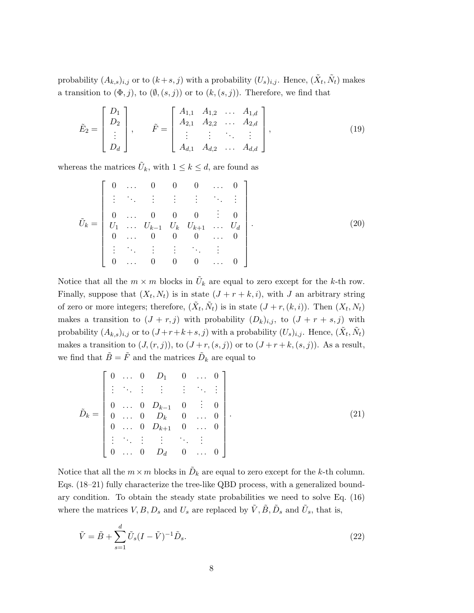probability  $(A_{k,s})_{i,j}$  or to  $(k+s,j)$  with a probability  $(U_s)_{i,j}$ . Hence,  $(\tilde{X}_t, \tilde{N}_t)$  makes a transition to  $(\Phi, j)$ , to  $(\emptyset, (s, j))$  or to  $(k, (s, j))$ . Therefore, we find that

$$
\tilde{E}_2 = \begin{bmatrix} D_1 \\ D_2 \\ \vdots \\ D_d \end{bmatrix}, \qquad \tilde{F} = \begin{bmatrix} A_{1,1} & A_{1,2} & \dots & A_{1,d} \\ A_{2,1} & A_{2,2} & \dots & A_{2,d} \\ \vdots & \vdots & \ddots & \vdots \\ A_{d,1} & A_{d,2} & \dots & A_{d,d} \end{bmatrix},
$$
\n(19)

whereas the matrices  $\tilde{U}_k$ , with  $1 \leq k \leq d$ , are found as

$$
\tilde{U}_k = \begin{bmatrix}\n0 & \dots & 0 & 0 & 0 & \dots & 0 \\
\vdots & \ddots & \vdots & \vdots & \vdots & \ddots & \vdots \\
0 & \dots & 0 & 0 & 0 & \vdots & 0 \\
U_1 & \dots & U_{k-1} & U_k & U_{k+1} & \dots & U_d \\
0 & \dots & 0 & 0 & 0 & \dots & 0 \\
\vdots & \ddots & \vdots & \vdots & \ddots & \vdots & \vdots \\
0 & \dots & 0 & 0 & 0 & \dots & 0\n\end{bmatrix} .
$$
\n(20)

Notice that all the  $m \times m$  blocks in  $\tilde{U}_k$  are equal to zero except for the k-th row. Finally, suppose that  $(X_t, N_t)$  is in state  $(J + r + k, i)$ , with J an arbitrary string of zero or more integers; therefore,  $(\tilde{X}_t, \tilde{N}_t)$  is in state  $(J + r, (k, i))$ . Then  $(X_t, N_t)$ makes a transition to  $(J + r, j)$  with probability  $(D_k)_{i,j}$ , to  $(J + r + s, j)$  with probability  $(A_{k,s})_{i,j}$  or to  $(J+r+k+s,j)$  with a probability  $(U_s)_{i,j}$ . Hence,  $(\tilde{X}_t, \tilde{N}_t)$ makes a transition to  $(J,(r, j))$ , to  $(J + r, (s, j))$  or to  $(J + r + k, (s, j))$ . As a result, we find that  $\tilde{B} = \tilde{F}$  and the matrices  $\tilde{D}_k$  are equal to

$$
\tilde{D}_k = \begin{bmatrix}\n0 & \cdots & 0 & D_1 & 0 & \cdots & 0 \\
\vdots & \ddots & \vdots & \vdots & \vdots & \ddots & \vdots \\
0 & \cdots & 0 & D_{k-1} & 0 & \vdots & 0 \\
0 & \cdots & 0 & D_k & 0 & \cdots & 0 \\
0 & \cdots & 0 & D_{k+1} & 0 & \cdots & 0 \\
\vdots & \ddots & \vdots & \vdots & \ddots & \vdots & \vdots \\
0 & \cdots & 0 & D_d & 0 & \cdots & 0\n\end{bmatrix}.
$$
\n(21)

Notice that all the  $m \times m$  blocks in  $\tilde{D}_k$  are equal to zero except for the k-th column. Eqs. (18–21) fully characterize the tree-like QBD process, with a generalized boundary condition. To obtain the steady state probabilities we need to solve Eq. (16) where the matrices  $V, B, D_s$  and  $U_s$  are replaced by  $\tilde{V}, \tilde{B}, \tilde{D}_s$  and  $\tilde{U}_s$ , that is,

$$
\tilde{V} = \tilde{B} + \sum_{s=1}^{d} \tilde{U}_s (I - \tilde{V})^{-1} \tilde{D}_s.
$$
\n(22)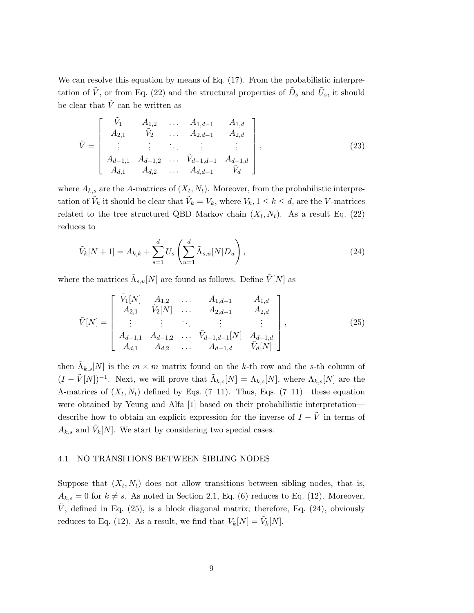We can resolve this equation by means of Eq.  $(17)$ . From the probabilistic interpretation of  $\tilde{V}$ , or from Eq. (22) and the structural properties of  $\tilde{D}_s$  and  $\tilde{U}_s$ , it should be clear that  $\tilde{V}$  can be written as

$$
\tilde{V} = \begin{bmatrix}\n\tilde{V}_1 & A_{1,2} & \dots & A_{1,d-1} & A_{1,d} \\
A_{2,1} & \tilde{V}_2 & \dots & A_{2,d-1} & A_{2,d} \\
\vdots & \vdots & \ddots & \vdots & \vdots \\
A_{d-1,1} & A_{d-1,2} & \dots & \tilde{V}_{d-1,d-1} & A_{d-1,d} \\
A_{d,1} & A_{d,2} & \dots & A_{d,d-1} & \tilde{V}_d\n\end{bmatrix},
$$
\n(23)

where  $A_{k,s}$  are the A-matrices of  $(X_t, N_t)$ . Moreover, from the probabilistic interpretation of  $\tilde{V}_k$  it should be clear that  $\tilde{V}_k = V_k$ , where  $V_k$ ,  $1 \leq k \leq d$ , are the V-matrices related to the tree structured QBD Markov chain  $(X_t, N_t)$ . As a result Eq. (22) reduces to

$$
\tilde{V}_{k}[N+1] = A_{k,k} + \sum_{s=1}^{d} U_s \left( \sum_{u=1}^{d} \tilde{\Lambda}_{s,u}[N] D_u \right),
$$
\n(24)

where the matrices  $\tilde{\Lambda}_{s,u}[N]$  are found as follows. Define  $\tilde{V}[N]$  as

$$
\tilde{V}[N] = \begin{bmatrix}\n\tilde{V}_1[N] & A_{1,2} & \dots & A_{1,d-1} & A_{1,d} \\
A_{2,1} & \tilde{V}_2[N] & \dots & A_{2,d-1} & A_{2,d} \\
\vdots & \vdots & \ddots & \vdots & \vdots \\
A_{d-1,1} & A_{d-1,2} & \dots & \tilde{V}_{d-1,d-1}[N] & A_{d-1,d} \\
A_{d,1} & A_{d,2} & \dots & A_{d-1,d} & \tilde{V}_d[N]\n\end{bmatrix},
$$
\n(25)

then  $\tilde{\Lambda}_{k,s}[N]$  is the  $m \times m$  matrix found on the k-th row and the s-th column of  $(I - \tilde{V}[N])^{-1}$ . Next, we will prove that  $\tilde{\Lambda}_{k,s}[N] = \Lambda_{k,s}[N]$ , where  $\Lambda_{k,s}[N]$  are the A-matrices of  $(X_t, N_t)$  defined by Eqs. (7-11). Thus, Eqs. (7-11)—these equation were obtained by Yeung and Alfa [1] based on their probabilistic interpretation describe how to obtain an explicit expression for the inverse of  $I - \tilde{V}$  in terms of  $A_{k,s}$  and  $\tilde{V}_k[N]$ . We start by considering two special cases.

## 4.1 NO TRANSITIONS BETWEEN SIBLING NODES

Suppose that  $(X_t, N_t)$  does not allow transitions between sibling nodes, that is,  $A_{k,s} = 0$  for  $k \neq s$ . As noted in Section 2.1, Eq. (6) reduces to Eq. (12). Moreover,  $\dot{V}$ , defined in Eq. (25), is a block diagonal matrix; therefore, Eq. (24), obviously reduces to Eq. (12). As a result, we find that  $V_k[N] = \tilde{V}_k[N]$ .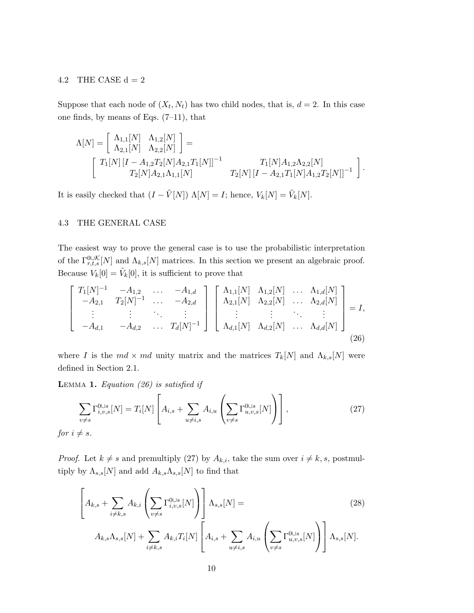#### 4.2 THE CASE  $d = 2$

Suppose that each node of  $(X_t, N_t)$  has two child nodes, that is,  $d = 2$ . In this case one finds, by means of Eqs.  $(7-11)$ , that

$$
\Lambda[N] = \begin{bmatrix} \Lambda_{1,1}[N] & \Lambda_{1,2}[N] \\ \Lambda_{2,1}[N] & \Lambda_{2,2}[N] \end{bmatrix} =
$$
  
\n
$$
\begin{bmatrix} T_1[N][I - A_{1,2}T_2[N]A_{2,1}T_1[N]]^{-1} & T_1[N]A_{1,2}\Lambda_{2,2}[N] \\ T_2[N]A_{2,1}\Lambda_{1,1}[N] & T_2[N][I - A_{2,1}T_1[N]A_{1,2}T_2[N]]^{-1} \end{bmatrix}.
$$

It is easily checked that  $(I - \tilde{V}[N]) \Lambda[N] = I$ ; hence,  $V_k[N] = \tilde{V}_k[N]$ .

## 4.3 THE GENERAL CASE

The easiest way to prove the general case is to use the probabilistic interpretation of the  $\Gamma_{r,t,s}^{\text{O}\cup\mathcal{K}}[N]$  and  $\Lambda_{k,s}[N]$  matrices. In this section we present an algebraic proof. Because  $V_k[0] = \tilde{V}_k[0]$ , it is sufficient to prove that

$$
\begin{bmatrix}\nT_1[N]^{-1} & -A_{1,2} & \cdots & -A_{1,d} \\
-A_{2,1} & T_2[N]^{-1} & \cdots & -A_{2,d} \\
\vdots & \vdots & \ddots & \vdots \\
-A_{d,1} & -A_{d,2} & \cdots & T_d[N]^{-1}\n\end{bmatrix}\n\begin{bmatrix}\n\Lambda_{1,1}[N] & \Lambda_{1,2}[N] & \cdots & \Lambda_{1,d}[N] \\
\Lambda_{2,1}[N] & \Lambda_{2,2}[N] & \cdots & \Lambda_{2,d}[N] \\
\vdots & \vdots & \ddots & \vdots \\
\Lambda_{d,1}[N] & \Lambda_{d,2}[N] & \cdots & \Lambda_{d,d}[N]\n\end{bmatrix} = I,
$$
\n(26)

where I is the  $md \times md$  unity matrix and the matrices  $T_k[N]$  and  $\Lambda_{k,s}[N]$  were defined in Section 2.1.

**LEMMA 1.** Equation (26) is satisfied if

$$
\sum_{v \neq s} \Gamma_{i,v,s}^{0 \cup s}[N] = T_i[N] \left[ A_{i,s} + \sum_{u \neq i,s} A_{i,u} \left( \sum_{v \neq s} \Gamma_{u,v,s}^{0 \cup s}[N] \right) \right],
$$
\n
$$
i \neq s.
$$
\n(27)

for  $i =$ 

*Proof.* Let  $k \neq s$  and premultiply (27) by  $A_{k,i}$ , take the sum over  $i \neq k, s$ , postmultiply by  $\Lambda_{s,s}[N]$  and add  $A_{k,s}\Lambda_{s,s}[N]$  to find that

$$
\left[A_{k,s} + \sum_{i \neq k,s} A_{k,i} \left(\sum_{v \neq s} \Gamma_{i,v,s}^{0\cup s}[N]\right) \right] \Lambda_{s,s}[N] =
$$
\n
$$
A_{k,s} \Lambda_{s,s}[N] + \sum_{i \neq k,s} A_{k,i} T_i[N] \left[A_{i,s} + \sum_{u \neq i,s} A_{i,u} \left(\sum_{v \neq s} \Gamma_{u,v,s}^{0\cup s}[N]\right) \right] \Lambda_{s,s}[N].
$$
\n(28)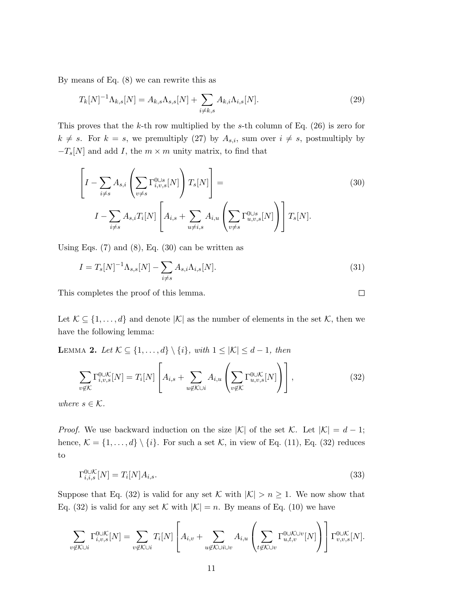By means of Eq. (8) we can rewrite this as

$$
T_k[N]^{-1}\Lambda_{k,s}[N] = A_{k,s}\Lambda_{s,s}[N] + \sum_{i \neq k,s} A_{k,i}\Lambda_{i,s}[N].
$$
\n(29)

This proves that the k-th row multiplied by the s-th column of Eq.  $(26)$  is zero for  $k \neq s$ . For  $k = s$ , we premultiply (27) by  $A_{s,i}$ , sum over  $i \neq s$ , postmultiply by  $-T_s[N]$  and add I, the  $m \times m$  unity matrix, to find that

$$
\left[I - \sum_{i \neq s} A_{s,i} \left(\sum_{v \neq s} \Gamma_{i,v,s}^{0 \cup s}[N]\right) T_s[N]\right] =
$$
\n
$$
I - \sum_{i \neq s} A_{s,i} T_i[N] \left[A_{i,s} + \sum_{u \neq i,s} A_{i,u} \left(\sum_{v \neq s} \Gamma_{u,v,s}^{0 \cup s}[N]\right) T_s[N].
$$
\n(30)

Using Eqs.  $(7)$  and  $(8)$ , Eq.  $(30)$  can be written as

$$
I = T_s[N]^{-1} \Lambda_{s,s}[N] - \sum_{i \neq s} A_{s,i} \Lambda_{i,s}[N].
$$
\n(31)

 $\Box$ 

This completes the proof of this lemma.

Let  $\mathcal{K} \subseteq \{1, \ldots, d\}$  and denote  $|\mathcal{K}|$  as the number of elements in the set  $\mathcal{K}$ , then we have the following lemma:

LEMMA 2. Let  $\mathcal{K} \subseteq \{1, ..., d\} \setminus \{i\}$ , with  $1 \leq |\mathcal{K}| \leq d-1$ , then

$$
\sum_{v \notin \mathcal{K}} \Gamma_{i,v,s}^{0 \cup \mathcal{K}}[N] = T_i[N] \left[ A_{i,s} + \sum_{u \notin \mathcal{K} \cup i} A_{i,u} \left( \sum_{v \notin \mathcal{K}} \Gamma_{u,v,s}^{0 \cup \mathcal{K}}[N] \right) \right],
$$
\n(32)

where  $s \in \mathcal{K}$ .

*Proof.* We use backward induction on the size  $|\mathcal{K}|$  of the set K. Let  $|\mathcal{K}| = d - 1$ ; hence,  $\mathcal{K} = \{1, ..., d\} \setminus \{i\}$ . For such a set  $\mathcal{K}$ , in view of Eq. (11), Eq. (32) reduces to

$$
\Gamma_{i,i,s}^{\text{O}\cup\mathcal{K}}[N] = T_i[N]A_{i,s}.\tag{33}
$$

Suppose that Eq. (32) is valid for any set K with  $|K| > n \ge 1$ . We now show that Eq. (32) is valid for any set K with  $|K| = n$ . By means of Eq. (10) we have

$$
\sum_{v \notin \mathcal{K} \cup i} \Gamma_{i,v,s}^{0 \cup \mathcal{K}}[N] = \sum_{v \notin \mathcal{K} \cup i} T_i[N] \left[ A_{i,v} + \sum_{u \notin \mathcal{K} \cup i \cup v} A_{i,u} \left( \sum_{t \notin \mathcal{K} \cup v} \Gamma_{u,t,v}^{0 \cup \mathcal{K} \cup v}[N] \right) \right] \Gamma_{v,v,s}^{0 \cup \mathcal{K}}[N].
$$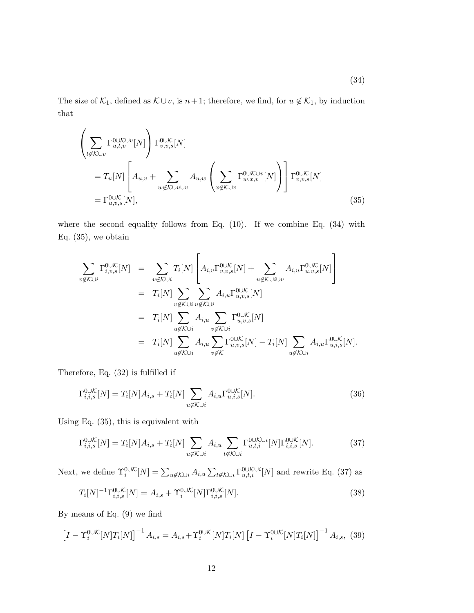The size of  $\mathcal{K}_1$ , defined as  $\mathcal{K} \cup v$ , is  $n+1$ ; therefore, we find, for  $u \notin \mathcal{K}_1$ , by induction that

$$
\left(\sum_{t \notin K \cup v} \Gamma_{u,t,v}^{0 \cup K \cup v}[N]\right) \Gamma_{v,v,s}^{0 \cup K}[N]
$$
\n
$$
= T_u[N] \left[A_{u,v} + \sum_{w \notin K \cup u \cup v} A_{u,w} \left(\sum_{x \notin K \cup v} \Gamma_{w,x,v}^{0 \cup K \cup v}[N]\right) \right] \Gamma_{v,v,s}^{0 \cup K}[N]
$$
\n
$$
= \Gamma_{u,v,s}^{0 \cup K}[N],
$$
\n(35)

where the second equality follows from Eq. (10). If we combine Eq. (34) with Eq.  $(35)$ , we obtain

$$
\sum_{v \notin K \cup i} \Gamma_{i,v,s}^{\text{OUK}}[N] = \sum_{v \notin K \cup i} T_i[N] \left[ A_{i,v} \Gamma_{v,v,s}^{\text{OUK}}[N] + \sum_{u \notin K \cup i \cup v} A_{i,u} \Gamma_{u,v,s}^{\text{OUK}}[N] \right]
$$
  
\n
$$
= T_i[N] \sum_{v \notin K \cup i} \sum_{u \notin K \cup i} A_{i,u} \Gamma_{u,v,s}^{\text{OUK}}[N]
$$
  
\n
$$
= T_i[N] \sum_{u \notin K \cup i} A_{i,u} \sum_{v \notin K \cup i} \Gamma_{u,v,s}^{\text{OUK}}[N] - T_i[N] \sum_{u \notin K \cup i} A_{i,u} \Gamma_{u,i,s}^{\text{OUK}}[N].
$$

Therefore, Eq. (32) is fulfilled if

$$
\Gamma_{i,i,s}^{\text{O}\cup\mathcal{K}}[N] = T_i[N]A_{i,s} + T_i[N] \sum_{u \notin \mathcal{K}\cup i} A_{i,u} \Gamma_{u,i,s}^{\text{O}\cup\mathcal{K}}[N].
$$
\n(36)

Using Eq. (35), this is equivalent with

$$
\Gamma_{i,i,s}^{\text{ouK}}[N] = T_i[N]A_{i,s} + T_i[N] \sum_{u \notin \mathcal{K} \cup i} A_{i,u} \sum_{t \notin \mathcal{K} \cup i} \Gamma_{u,t,i}^{\text{ouK}}[N] \Gamma_{i,i,s}^{\text{ouK}}[N]. \tag{37}
$$

Next, we define  $\Upsilon_i^{0\cup\mathcal{K}}[N] = \sum_{u \notin \mathcal{K} \cup i} A_{i,u} \sum_{t \notin \mathcal{K} \cup i} \Gamma_{u,t,i}^{0\cup\mathcal{K} \cup i}[N]$  and rewrite Eq. (37) as

$$
T_i[N]^{-1} \Gamma_{i,i,s}^{\text{OUK}}[N] = A_{i,s} + \Upsilon_i^{\text{OUK}}[N] \Gamma_{i,i,s}^{\text{OUK}}[N]. \tag{38}
$$

By means of Eq. (9) we find

$$
\left[I - \Upsilon_i^{0 \cup K}[N]T_i[N]\right]^{-1} A_{i,s} = A_{i,s} + \Upsilon_i^{0 \cup K}[N]T_i[N] \left[I - \Upsilon_i^{0 \cup K}[N]T_i[N]\right]^{-1} A_{i,s},\tag{39}
$$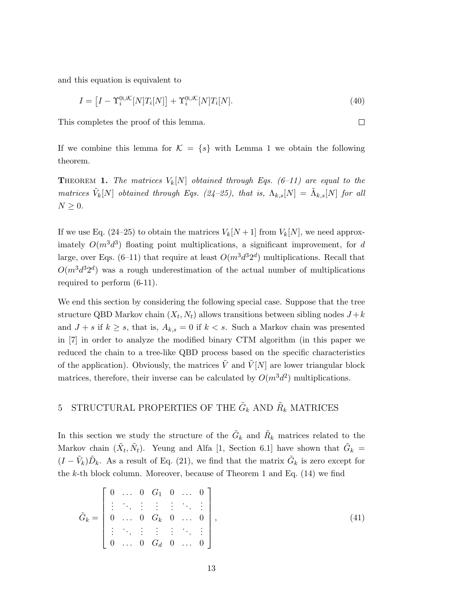and this equation is equivalent to

$$
I = \left[I - \Upsilon_i^{0 \cup \mathcal{K}}[N]T_i[N]\right] + \Upsilon_i^{0 \cup \mathcal{K}}[N]T_i[N].\tag{40}
$$

 $\Box$ 

This completes the proof of this lemma.

If we combine this lemma for  $\mathcal{K} = \{s\}$  with Lemma 1 we obtain the following theorem.

**THEOREM 1.** The matrices  $V_k[N]$  obtained through Eqs. (6–11) are equal to the matrices  $\tilde{V}_k[N]$  obtained through Eqs. (24-25), that is,  $\Lambda_{k,s}[N] = \tilde{\Lambda}_{k,s}[N]$  for all  $N \geq 0$ .

If we use Eq. (24–25) to obtain the matrices  $V_k[N+1]$  from  $V_k[N]$ , we need approximately  $O(m^3d^3)$  floating point multiplications, a significant improvement, for d large, over Eqs. (6–11) that require at least  $O(m^3d^32^d)$  multiplications. Recall that  $O(m^3d^32^d)$  was a rough underestimation of the actual number of multiplications required to perform (6-11).

We end this section by considering the following special case. Suppose that the tree structure QBD Markov chain  $(X_t, N_t)$  allows transitions between sibling nodes  $J + k$ and  $J + s$  if  $k \geq s$ , that is,  $A_{k,s} = 0$  if  $k < s$ . Such a Markov chain was presented in [7] in order to analyze the modified binary CTM algorithm (in this paper we reduced the chain to a tree-like QBD process based on the specific characteristics of the application). Obviously, the matrices  $\tilde{V}$  and  $\tilde{V}[N]$  are lower triangular block matrices, therefore, their inverse can be calculated by  $O(m^3d^2)$  multiplications.

# 5 STRUCTURAL PROPERTIES OF THE  $\tilde{G}_k$  AND  $\tilde{R}_k$  MATRICES

In this section we study the structure of the  $\tilde{G}_k$  and  $\tilde{R}_k$  matrices related to the Markov chain  $(\tilde{X}_t, \tilde{N}_t)$ . Yeung and Alfa [1, Section 6.1] have shown that  $\tilde{G}_k =$  $(I - \tilde{V}_k)\tilde{D}_k$ . As a result of Eq. (21), we find that the matrix  $\tilde{G}_k$  is zero except for the  $k$ -th block column. Moreover, because of Theorem 1 and Eq.  $(14)$  we find

$$
\tilde{G}_k = \begin{bmatrix} 0 & \dots & 0 & G_1 & 0 & \dots & 0 \\ \vdots & \ddots & \vdots & \vdots & \vdots & \ddots & \vdots \\ 0 & \dots & 0 & G_k & 0 & \dots & 0 \\ \vdots & \ddots & \vdots & \vdots & \vdots & \ddots & \vdots \\ 0 & \dots & 0 & G_d & 0 & \dots & 0 \end{bmatrix},
$$
\n(41)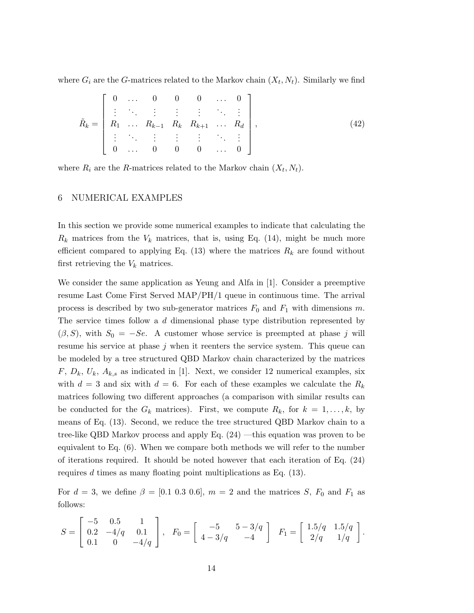where  $G_i$  are the G-matrices related to the Markov chain  $(X_t, N_t)$ . Similarly we find

$$
\tilde{R}_k = \begin{bmatrix}\n0 & \dots & 0 & 0 & 0 & \dots & 0 \\
\vdots & \ddots & \vdots & \vdots & \vdots & \ddots & \vdots \\
R_1 & \dots & R_{k-1} & R_k & R_{k+1} & \dots & R_d \\
\vdots & \ddots & \vdots & \vdots & \vdots & \ddots & \vdots \\
0 & \dots & 0 & 0 & 0 & \dots & 0\n\end{bmatrix},
$$
\n(42)

where  $R_i$  are the R-matrices related to the Markov chain  $(X_t, N_t)$ .

# 6 NUMERICAL EXAMPLES

In this section we provide some numerical examples to indicate that calculating the  $R_k$  matrices from the  $V_k$  matrices, that is, using Eq. (14), might be much more efficient compared to applying Eq. (13) where the matrices  $R_k$  are found without first retrieving the  $V_k$  matrices.

We consider the same application as Yeung and Alfa in [1]. Consider a preemptive resume Last Come First Served MAP/PH/1 queue in continuous time. The arrival process is described by two sub-generator matrices  $F_0$  and  $F_1$  with dimensions m. The service times follow a d dimensional phase type distribution represented by  $(\beta, S)$ , with  $S_0 = -Se$ . A customer whose service is preempted at phase j will resume his service at phase j when it reenters the service system. This queue can be modeled by a tree structured QBD Markov chain characterized by the matrices  $F, D_k, U_k, A_{k,s}$  as indicated in [1]. Next, we consider 12 numerical examples, six with  $d = 3$  and six with  $d = 6$ . For each of these examples we calculate the  $R_k$ matrices following two different approaches (a comparison with similar results can be conducted for the  $G_k$  matrices). First, we compute  $R_k$ , for  $k = 1, \ldots, k$ , by means of Eq. (13). Second, we reduce the tree structured QBD Markov chain to a tree-like QBD Markov process and apply Eq. (24) —this equation was proven to be equivalent to Eq. (6). When we compare both methods we will refer to the number of iterations required. It should be noted however that each iteration of Eq. (24) requires d times as many floating point multiplications as Eq.  $(13)$ .

For  $d = 3$ , we define  $\beta = [0.1 \ 0.3 \ 0.6]$ ,  $m = 2$  and the matrices S,  $F_0$  and  $F_1$  as follows:

$$
S = \begin{bmatrix} -5 & 0.5 & 1 \\ 0.2 & -4/q & 0.1 \\ 0.1 & 0 & -4/q \end{bmatrix}, \quad F_0 = \begin{bmatrix} -5 & 5-3/q \\ 4-3/q & -4 \end{bmatrix} \quad F_1 = \begin{bmatrix} 1.5/q & 1.5/q \\ 2/q & 1/q \end{bmatrix}.
$$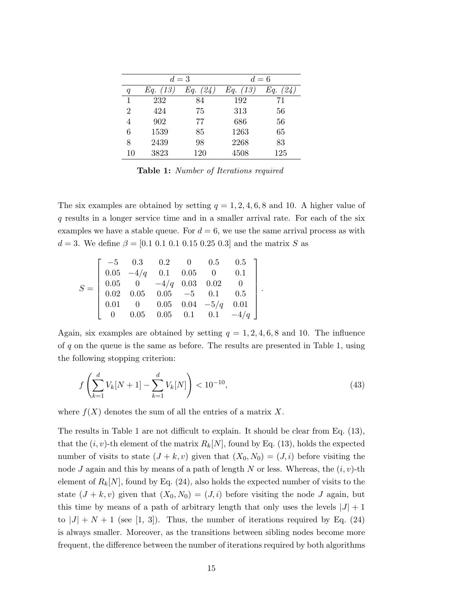|    | $d=3$       |     | $d=6$             |     |
|----|-------------|-----|-------------------|-----|
| q  | (13)<br>Eq. | Eq. | <i>Eq.</i> $(13)$ | Eq. |
| 1  | 232         | 84  | 192               | 71  |
| 2  | 424         | 75  | 313               | 56  |
| 4  | 902         | 77  | 686               | 56  |
| 6  | 1539        | 85  | 1263              | 65  |
| 8  | 2439        | 98  | 2268              | 83  |
| 10 | 3823        | 120 | 4508              | 125 |

Table 1: Number of Iterations required

The six examples are obtained by setting  $q = 1, 2, 4, 6, 8$  and 10. A higher value of q results in a longer service time and in a smaller arrival rate. For each of the six examples we have a stable queue. For  $d = 6$ , we use the same arrival process as with  $d = 3$ . We define  $\beta = [0.1 \ 0.1 \ 0.1 \ 0.15 \ 0.25 \ 0.3]$  and the matrix S as

$$
S = \left[ \begin{array}{cccccc} -5 & 0.3 & 0.2 & 0 & 0.5 & 0.5 \\ 0.05 & -4/q & 0.1 & 0.05 & 0 & 0.1 \\ 0.05 & 0 & -4/q & 0.03 & 0.02 & 0 \\ 0.02 & 0.05 & 0.05 & -5 & 0.1 & 0.5 \\ 0.01 & 0 & 0.05 & 0.04 & -5/q & 0.01 \\ 0 & 0.05 & 0.05 & 0.1 & 0.1 & -4/q \end{array} \right]
$$

Again, six examples are obtained by setting  $q = 1, 2, 4, 6, 8$  and 10. The influence of  $q$  on the queue is the same as before. The results are presented in Table 1, using the following stopping criterion:

$$
f\left(\sum_{k=1}^{d} V_k[N+1] - \sum_{k=1}^{d} V_k[N]\right) < 10^{-10},\tag{43}
$$

.

where  $f(X)$  denotes the sum of all the entries of a matrix X.

The results in Table 1 are not difficult to explain. It should be clear from Eq. (13), that the  $(i, v)$ -th element of the matrix  $R_k[N]$ , found by Eq. (13), holds the expected number of visits to state  $(J + k, v)$  given that  $(X_0, N_0) = (J, i)$  before visiting the node J again and this by means of a path of length N or less. Whereas, the  $(i, v)$ -th element of  $R_k[N]$ , found by Eq. (24), also holds the expected number of visits to the state  $(J + k, v)$  given that  $(X_0, N_0) = (J, i)$  before visiting the node J again, but this time by means of a path of arbitrary length that only uses the levels  $|J| + 1$ to  $|J| + N + 1$  (see [1, 3]). Thus, the number of iterations required by Eq. (24) is always smaller. Moreover, as the transitions between sibling nodes become more frequent, the difference between the number of iterations required by both algorithms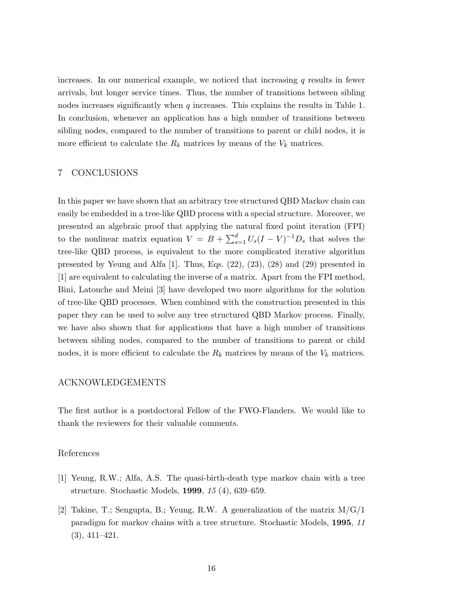increases. In our numerical example, we noticed that increasing  $q$  results in fewer arrivals, but longer service times. Thus, the number of transitions between sibling nodes increases significantly when  $q$  increases. This explains the results in Table 1. In conclusion, whenever an application has a high number of transitions between sibling nodes, compared to the number of transitions to parent or child nodes, it is more efficient to calculate the  $R_k$  matrices by means of the  $V_k$  matrices.

## 7 CONCLUSIONS

In this paper we have shown that an arbitrary tree structured QBD Markov chain can easily be embedded in a tree-like QBD process with a special structure. Moreover, we presented an algebraic proof that applying the natural fixed point iteration (FPI) to the nonlinear matrix equation  $V = B + \sum_{s=1}^{d} U_s (I - V)^{-1} D_s$  that solves the tree-like QBD process, is equivalent to the more complicated iterative algorithm presented by Yeung and Alfa [1]. Thus, Eqs. (22), (23), (28) and (29) presented in [1] are equivalent to calculating the inverse of a matrix. Apart from the FPI method, Bini, Latouche and Meini [3] have developed two more algorithms for the solution of tree-like QBD processes. When combined with the construction presented in this paper they can be used to solve any tree structured QBD Markov process. Finally, we have also shown that for applications that have a high number of transitions between sibling nodes, compared to the number of transitions to parent or child nodes, it is more efficient to calculate the  $R_k$  matrices by means of the  $V_k$  matrices.

# ACKNOWLEDGEMENTS

The first author is a postdoctoral Fellow of the FWO-Flanders. We would like to thank the reviewers for their valuable comments.

### References

- [1] Yeung, R.W.; Alfa, A.S. The quasi-birth-death type markov chain with a tree structure. Stochastic Models, 1999, 15 (4), 639–659.
- [2] Takine, T.; Sengupta, B.; Yeung, R.W. A generalization of the matrix M/G/1 paradigm for markov chains with a tree structure. Stochastic Models, 1995, 11 (3), 411–421.